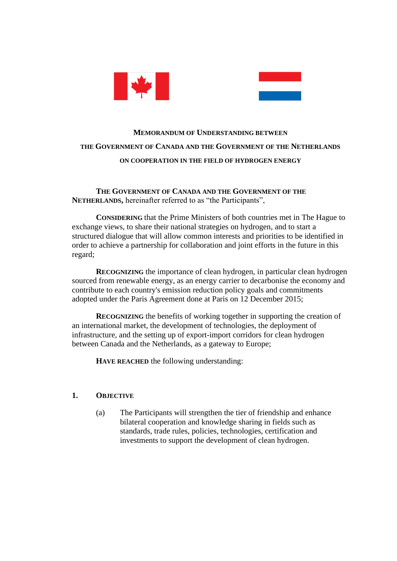



# **MEMORANDUM OF UNDERSTANDING BETWEEN THE GOVERNMENT OF CANADA AND THE GOVERNMENT OF THE NETHERLANDS ON COOPERATION IN THE FIELD OF HYDROGEN ENERGY**

**THE GOVERNMENT OF CANADA AND THE GOVERNMENT OF THE NETHERLANDS,** hereinafter referred to as "the Participants",

**CONSIDERING** that the Prime Ministers of both countries met in The Hague to exchange views, to share their national strategies on hydrogen, and to start a structured dialogue that will allow common interests and priorities to be identified in order to achieve a partnership for collaboration and joint efforts in the future in this regard;

**RECOGNIZING** the importance of clean hydrogen, in particular clean hydrogen sourced from renewable energy, as an energy carrier to decarbonise the economy and contribute to each country's emission reduction policy goals and commitments adopted under the Paris Agreement done at Paris on 12 December 2015;

**RECOGNIZING** the benefits of working together in supporting the creation of an international market, the development of technologies, the deployment of infrastructure, and the setting up of export-import corridors for clean hydrogen between Canada and the Netherlands, as a gateway to Europe;

**HAVE REACHED** the following understanding:

#### **1. OBJECTIVE**

(a) The Participants will strengthen the tier of friendship and enhance bilateral cooperation and knowledge sharing in fields such as standards, trade rules, policies, technologies, certification and investments to support the development of clean hydrogen.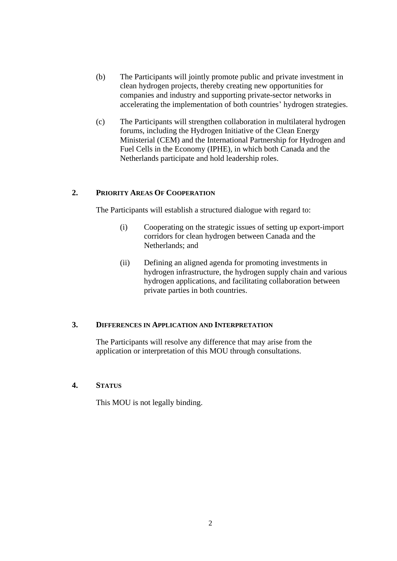- (b) The Participants will jointly promote public and private investment in clean hydrogen projects, thereby creating new opportunities for companies and industry and supporting private-sector networks in accelerating the implementation of both countries' hydrogen strategies.
- (c) The Participants will strengthen collaboration in multilateral hydrogen forums, including the Hydrogen Initiative of the Clean Energy Ministerial (CEM) and the International Partnership for Hydrogen and Fuel Cells in the Economy (IPHE), in which both Canada and the Netherlands participate and hold leadership roles.

#### **2. PRIORITY AREAS OF COOPERATION**

The Participants will establish a structured dialogue with regard to:

- (i) Cooperating on the strategic issues of setting up export-import corridors for clean hydrogen between Canada and the Netherlands; and
- (ii) Defining an aligned agenda for promoting investments in hydrogen infrastructure, the hydrogen supply chain and various hydrogen applications, and facilitating collaboration between private parties in both countries.

#### **3. DIFFERENCES IN APPLICATION AND INTERPRETATION**

The Participants will resolve any difference that may arise from the application or interpretation of this MOU through consultations.

## **4. STATUS**

This MOU is not legally binding.